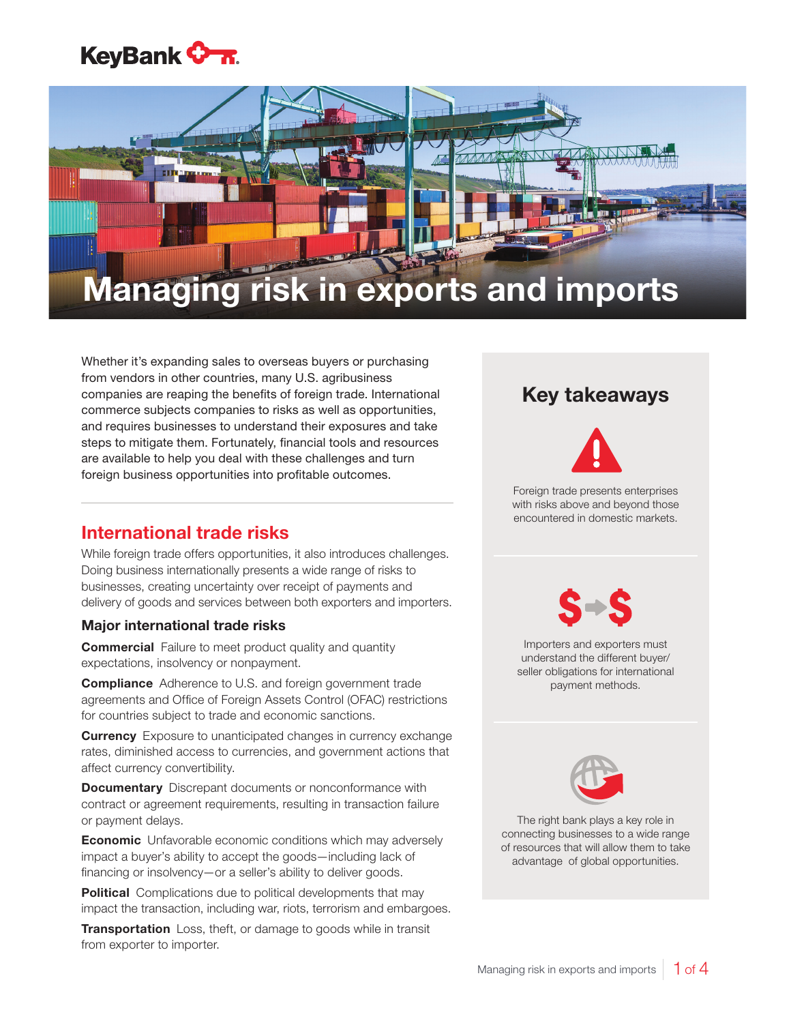## **KeyBank <del>On.</del>**



# Managing risk in exports and imports

Whether it's expanding sales to overseas buyers or purchasing from vendors in other countries, many U.S. agribusiness companies are reaping the benefits of foreign trade. International commerce subjects companies to risks as well as opportunities, and requires businesses to understand their exposures and take steps to mitigate them. Fortunately, financial tools and resources are available to help you deal with these challenges and turn foreign business opportunities into profitable outcomes.

## International trade risks

While foreign trade offers opportunities, it also introduces challenges. Doing business internationally presents a wide range of risks to businesses, creating uncertainty over receipt of payments and delivery of goods and services between both exporters and importers.

#### Major international trade risks

**Commercial** Failure to meet product quality and quantity expectations, insolvency or nonpayment.

**Compliance** Adherence to U.S. and foreign government trade agreements and Office of Foreign Assets Control (OFAC) restrictions for countries subject to trade and economic sanctions.

**Currency** Exposure to unanticipated changes in currency exchange rates, diminished access to currencies, and government actions that affect currency convertibility.

**Documentary** Discrepant documents or nonconformance with contract or agreement requirements, resulting in transaction failure or payment delays.

**Economic** Unfavorable economic conditions which may adversely impact a buyer's ability to accept the goods—including lack of financing or insolvency—or a seller's ability to deliver goods.

**Political** Complications due to political developments that may impact the transaction, including war, riots, terrorism and embargoes.

**Transportation** Loss, theft, or damage to goods while in transit from exporter to importer.

## Key takeaways



Foreign trade presents enterprises with risks above and beyond those encountered in domestic markets.



Importers and exporters must understand the different buyer/ seller obligations for international payment methods.



The right bank plays a key role in connecting businesses to a wide range of resources that will allow them to take advantage of global opportunities.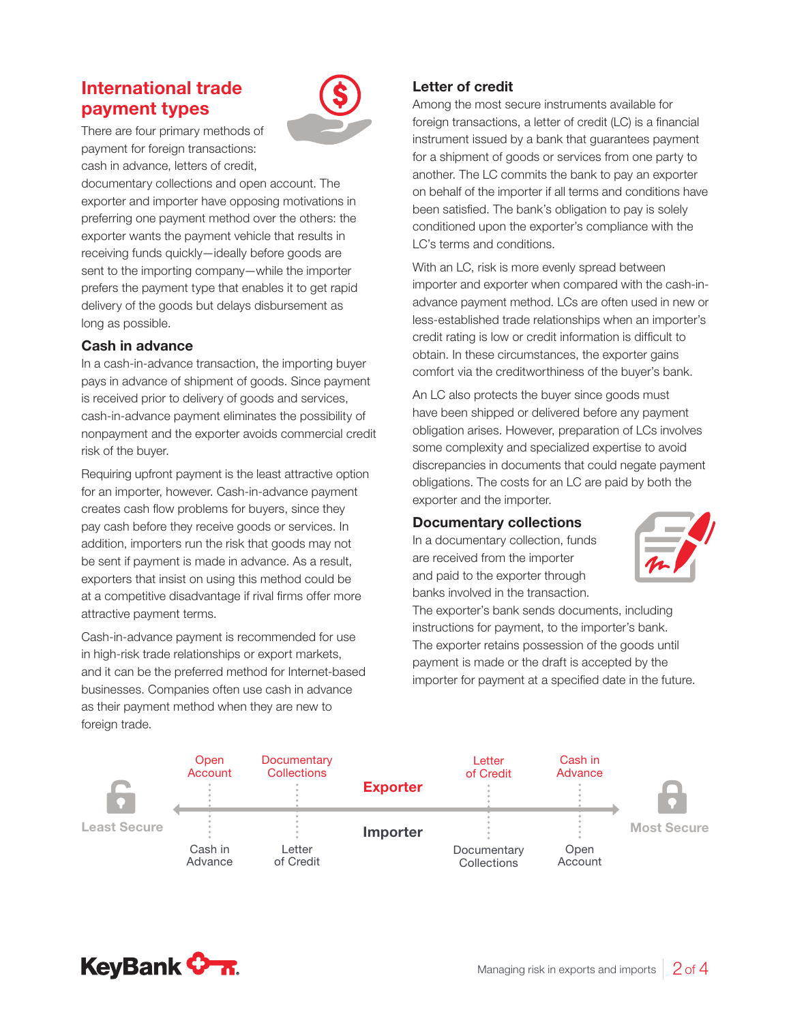## International trade payment types



There are four primary methods of payment for foreign transactions: cash in advance, letters of credit,

documentary collections and open account. The exporter and importer have opposing motivations in preferring one payment method over the others: the exporter wants the payment vehicle that results in receiving funds quickly—ideally before goods are sent to the importing company—while the importer prefers the payment type that enables it to get rapid delivery of the goods but delays disbursement as long as possible.

#### Cash in advance

In a cash-in-advance transaction, the importing buyer pays in advance of shipment of goods. Since payment is received prior to delivery of goods and services, cash-in-advance payment eliminates the possibility of nonpayment and the exporter avoids commercial credit risk of the buyer.

Requiring upfront payment is the least attractive option for an importer, however. Cash-in-advance payment creates cash flow problems for buyers, since they pay cash before they receive goods or services. In addition, importers run the risk that goods may not be sent if payment is made in advance. As a result, exporters that insist on using this method could be at a competitive disadvantage if rival firms offer more attractive payment terms.

Cash-in-advance payment is recommended for use in high-risk trade relationships or export markets, and it can be the preferred method for Internet-based businesses. Companies often use cash in advance as their payment method when they are new to foreign trade.

#### Letter of credit

Among the most secure instruments available for foreign transactions, a letter of credit (LC) is a financial instrument issued by a bank that guarantees payment for a shipment of goods or services from one party to another. The LC commits the bank to pay an exporter on behalf of the importer if all terms and conditions have been satisfied. The bank's obligation to pay is solely conditioned upon the exporter's compliance with the LC's terms and conditions.

With an LC, risk is more evenly spread between importer and exporter when compared with the cash-inadvance payment method. LCs are often used in new or less-established trade relationships when an importer's credit rating is low or credit information is difficult to obtain. In these circumstances, the exporter gains comfort via the creditworthiness of the buyer's bank.

An LC also protects the buyer since goods must have been shipped or delivered before any payment obligation arises. However, preparation of LCs involves some complexity and specialized expertise to avoid discrepancies in documents that could negate payment obligations. The costs for an LC are paid by both the exporter and the importer.

#### Documentary collections

In a documentary collection, funds are received from the importer and paid to the exporter through banks involved in the transaction.



The exporter's bank sends documents, including instructions for payment, to the importer's bank. The exporter retains possession of the goods until payment is made or the draft is accepted by the importer for payment at a specified date in the future.



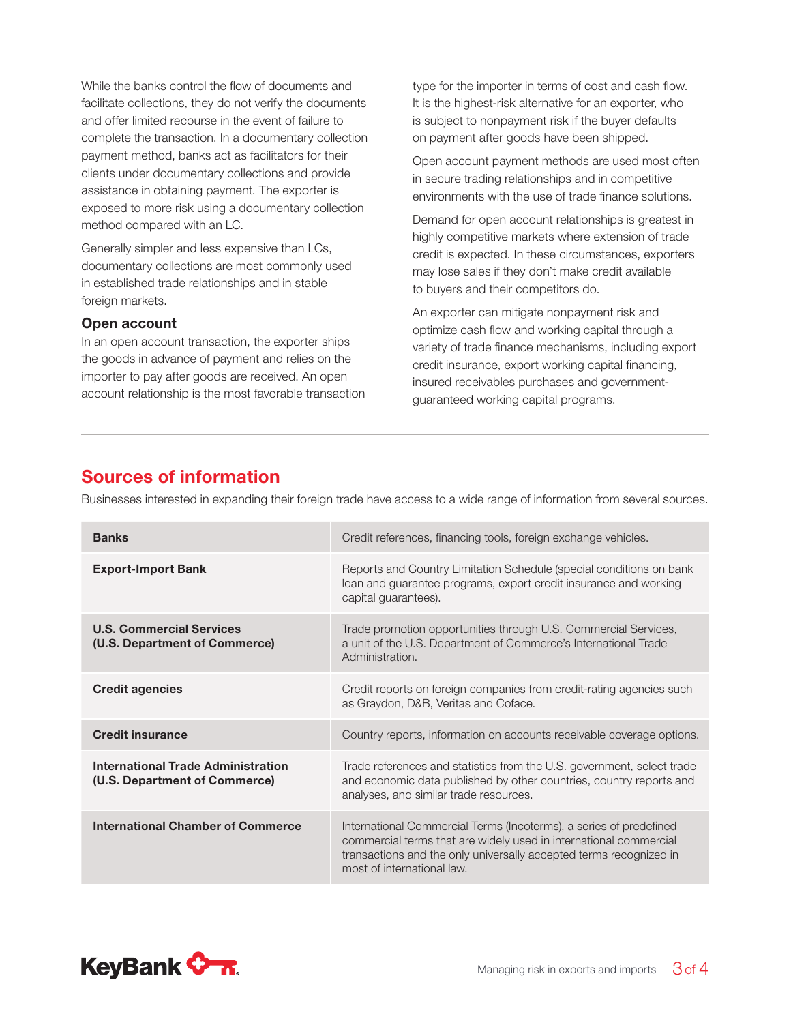While the banks control the flow of documents and facilitate collections, they do not verify the documents and offer limited recourse in the event of failure to complete the transaction. In a documentary collection payment method, banks act as facilitators for their clients under documentary collections and provide assistance in obtaining payment. The exporter is exposed to more risk using a documentary collection method compared with an LC.

Generally simpler and less expensive than LCs, documentary collections are most commonly used in established trade relationships and in stable foreign markets.

#### Open account

In an open account transaction, the exporter ships the goods in advance of payment and relies on the importer to pay after goods are received. An open account relationship is the most favorable transaction

type for the importer in terms of cost and cash flow. It is the highest-risk alternative for an exporter, who is subject to nonpayment risk if the buyer defaults on payment after goods have been shipped.

Open account payment methods are used most often in secure trading relationships and in competitive environments with the use of trade finance solutions.

Demand for open account relationships is greatest in highly competitive markets where extension of trade credit is expected. In these circumstances, exporters may lose sales if they don't make credit available to buyers and their competitors do.

An exporter can mitigate nonpayment risk and optimize cash flow and working capital through a variety of trade finance mechanisms, including export credit insurance, export working capital financing, insured receivables purchases and governmentguaranteed working capital programs.

### Sources of information

Businesses interested in expanding their foreign trade have access to a wide range of information from several sources.

| <b>Banks</b>                                                        | Credit references, financing tools, foreign exchange vehicles.                                                                                                                                                                              |
|---------------------------------------------------------------------|---------------------------------------------------------------------------------------------------------------------------------------------------------------------------------------------------------------------------------------------|
| <b>Export-Import Bank</b>                                           | Reports and Country Limitation Schedule (special conditions on bank<br>loan and guarantee programs, export credit insurance and working<br>capital guarantees).                                                                             |
| <b>U.S. Commercial Services</b><br>(U.S. Department of Commerce)    | Trade promotion opportunities through U.S. Commercial Services,<br>a unit of the U.S. Department of Commerce's International Trade<br>Administration.                                                                                       |
| <b>Credit agencies</b>                                              | Credit reports on foreign companies from credit-rating agencies such<br>as Graydon, D&B, Veritas and Coface.                                                                                                                                |
| <b>Credit insurance</b>                                             | Country reports, information on accounts receivable coverage options.                                                                                                                                                                       |
| International Trade Administration<br>(U.S. Department of Commerce) | Trade references and statistics from the U.S. government, select trade<br>and economic data published by other countries, country reports and<br>analyses, and similar trade resources.                                                     |
| <b>International Chamber of Commerce</b>                            | International Commercial Terms (Incoterms), a series of predefined<br>commercial terms that are widely used in international commercial<br>transactions and the only universally accepted terms recognized in<br>most of international law. |